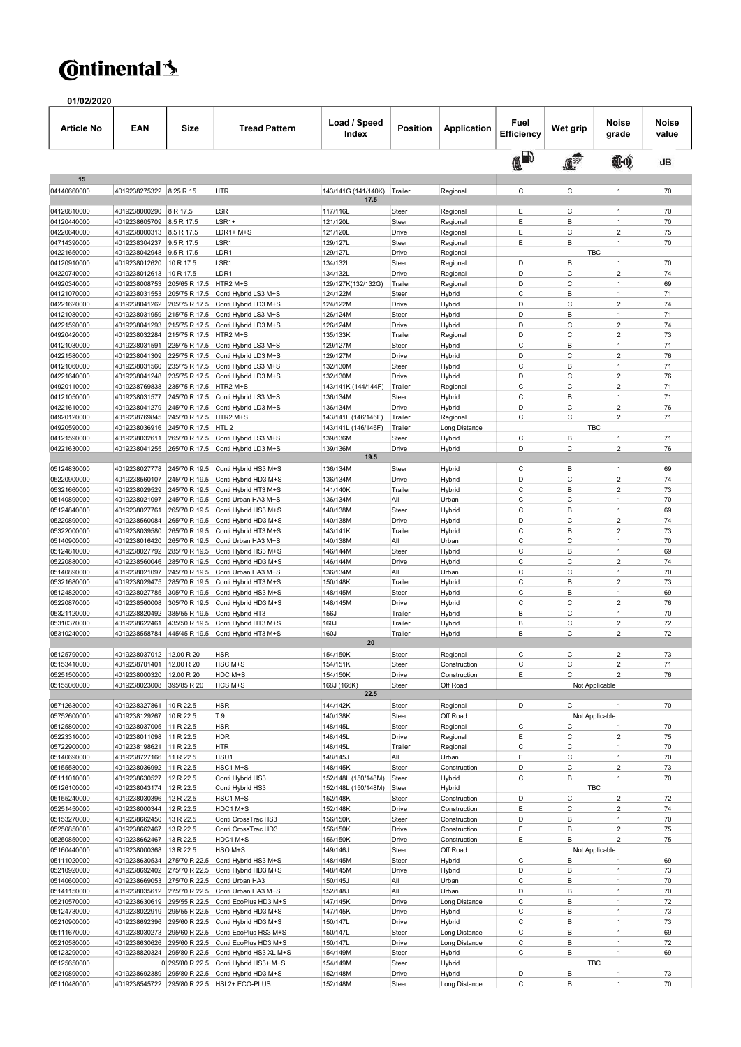## **C**ntinental<sup>1</sup>

01/02/2020

| Article No                 | <b>EAN</b>                                   | Size                           | <b>Tread Pattern</b>                             | Load / Speed<br>Index           | <b>Position</b>  | Application                  | Fuel<br>Efficiency | Wet grip                 | Noise<br>grade                   | <b>Noise</b><br>value |
|----------------------------|----------------------------------------------|--------------------------------|--------------------------------------------------|---------------------------------|------------------|------------------------------|--------------------|--------------------------|----------------------------------|-----------------------|
|                            |                                              |                                |                                                  |                                 |                  |                              | (FD                | $\int_{0}^{\frac{1}{3}}$ | (10)                             | dB                    |
| 15<br>04140660000          | 4019238275322 8.25 R 15                      |                                | <b>HTR</b>                                       | 143/141G (141/140K)             | Trailer          | Regional                     | C                  | C                        | $\overline{1}$                   | 70                    |
|                            |                                              |                                |                                                  | 17.5                            |                  |                              |                    |                          |                                  |                       |
| 04120810000                | 4019238000290                                | 8 R 17.5                       | LSR                                              | 117/116L                        | Steer            | Regional                     | Ε                  | C                        | $\mathbf{1}$                     | 70                    |
| 04120440000                | 4019238605709                                | 8.5 R 17.5                     | LSR1+                                            | 121/120L                        | Steer            | Regional                     | E                  | B                        | $\overline{1}$<br>$\overline{2}$ | 70                    |
| 04220640000<br>04714390000 | 4019238000313<br>4019238304237               | 8.5 R 17.5<br>9.5 R 17.5       | LDR1+ M+S<br>LSR1                                | 121/120L<br>129/127L            | Drive<br>Steer   | Regional<br>Regional         | E<br>E             | C<br>B                   | 1                                | 75<br>70              |
| 04221650000                | 4019238042948                                | 9.5 R 17.5                     | LDR1                                             | 129/127L                        | Drive            | Regional                     |                    | <b>TBC</b>               |                                  |                       |
| 04120910000                | 4019238012620                                | 10 R 17.5                      | LSR1                                             | 134/132L                        | Steer            | Regional                     | D                  | B                        | $\mathbf{1}$                     | 70                    |
| 04220740000                | 4019238012613                                | 10 R 17.5                      | LDR1                                             | 134/132L                        | Drive            | Regional                     | D                  | C                        | $\overline{2}$                   | 74                    |
| 04920340000                | 4019238008753                                | 205/65 R 17.5                  | HTR2 M+S                                         | 129/127K(132/132G)              | Trailer          | Regional                     | D                  | C                        | $\mathbf{1}$                     | 69                    |
| 04121070000<br>04221620000 | 4019238031553<br>4019238041262               | 205/75 R 17.5<br>205/75 R 17.5 | Conti Hybrid LS3 M+S<br>Conti Hybrid LD3 M+S     | 124/122M<br>124/122M            | Steer<br>Drive   | Hybrid<br>Hybrid             | C<br>D             | B<br>Ċ                   | $\overline{1}$<br>$\overline{2}$ | 71<br>74              |
| 04121080000                | 4019238031959                                | 215/75 R 17.5                  | Conti Hybrid LS3 M+S                             | 126/124M                        | Steer            | Hybrid                       | D                  | B                        | $\overline{1}$                   | 71                    |
| 04221590000                | 4019238041293                                | 215/75 R 17.5                  | Conti Hybrid LD3 M+S                             | 126/124M                        | Drive            | Hybrid                       | D                  | C                        | $\overline{2}$                   | 74                    |
| 04920420000                | 4019238032284                                | 215/75 R 17.5                  | HTR2 M+S                                         | 135/133K                        | Trailer          | Regional                     | D                  | C                        | $\overline{2}$                   | 73                    |
| 04121030000                | 4019238031591                                | 225/75 R 17.5                  | Conti Hybrid LS3 M+S                             | 129/127M                        | Steer            | Hybrid                       | C                  | B                        | $\mathbf{1}$                     | 71                    |
| 04221580000                | 4019238041309                                | 225/75 R 17.5                  | Conti Hybrid LD3 M+S                             | 129/127M                        | Drive            | Hybrid                       | D                  | C                        | $\overline{2}$                   | 76                    |
| 04121060000<br>04221640000 | 4019238031560<br>4019238041248               | 235/75 R 17.5<br>235/75 R 17.5 | Conti Hybrid LS3 M+S<br>Conti Hybrid LD3 M+S     | 132/130M<br>132/130M            | Steer<br>Drive   | Hybrid<br>Hybrid             | C<br>D             | B<br>C                   | $\mathbf{1}$<br>$\overline{2}$   | 71<br>76              |
| 04920110000                | 4019238769838                                | 235/75 R 17.5                  | HTR2 M+S                                         | 143/141K (144/144F)             | Trailer          | Regional                     | C                  | C                        | $\overline{2}$                   | 71                    |
| 04121050000                | 4019238031577                                | 245/70 R 17.5                  | Conti Hybrid LS3 M+S                             | 136/134M                        | Steer            | Hybrid                       | C                  | B                        | $\overline{1}$                   | 71                    |
| 04221610000                | 4019238041279                                | 245/70 R 17.5                  | Conti Hybrid LD3 M+S                             | 136/134M                        | Drive            | Hybrid                       | D                  | C                        | $\overline{2}$                   | 76                    |
| 04920120000                | 4019238769845                                | 245/70 R 17.5                  | HTR2 M+S                                         | 143/141L (146/146F)             | Trailer          | Regional                     | C                  | C                        | $\overline{2}$                   | 71                    |
| 04920590000<br>04121590000 | 4019238036916<br>4019238032611               | 245/70 R 17.5<br>265/70 R 17.5 | HTL <sub>2</sub><br>Conti Hybrid LS3 M+S         | 143/141L (146/146F)<br>139/136M | Trailer<br>Steer | Long Distance<br>Hybrid      | $\mathsf C$        | <b>TBC</b><br>B          | $\mathbf{1}$                     | 71                    |
| 04221630000                | 4019238041255                                | 265/70 R 17.5                  | Conti Hybrid LD3 M+S                             | 139/136M                        | Drive            | Hybrid                       | D                  | $\mathsf{C}$             | $\overline{2}$                   | 76                    |
|                            |                                              |                                |                                                  | 19.5                            |                  |                              |                    |                          |                                  |                       |
| 05124830000                | 4019238027778                                | 245/70 R 19.5                  | Conti Hybrid HS3 M+S                             | 136/134M                        | Steer            | Hybrid                       | C                  | B                        | $\mathbf{1}$                     | 69                    |
| 05220900000                | 4019238560107                                | 245/70 R 19.5                  | Conti Hybrid HD3 M+S                             | 136/134M                        | Drive            | Hybrid                       | D                  | C                        | $\overline{2}$                   | 74                    |
| 05321660000                | 4019238029529<br>4019238021097               | 245/70 R 19.5<br>245/70 R 19.5 | Conti Hybrid HT3 M+S                             | 141/140K<br>136/134M            | Trailer<br>All   | Hybrid<br>Urban              | C<br>C             | B<br>C                   | $\overline{2}$<br>$\mathbf{1}$   | 73<br>70              |
| 05140890000<br>05124840000 | 4019238027761                                | 265/70 R 19.5                  | Conti Urban HA3 M+S<br>Conti Hybrid HS3 M+S      | 140/138M                        | Steer            | Hybrid                       | C                  | B                        | $\overline{1}$                   | 69                    |
| 05220890000                | 4019238560084                                | 265/70 R 19.5                  | Conti Hybrid HD3 M+S                             | 140/138M                        | Drive            | Hybrid                       | D                  | C                        | $\overline{2}$                   | 74                    |
| 05322000000                | 4019238039580                                | 265/70 R 19.5                  | Conti Hybrid HT3 M+S                             | 143/141K                        | Trailer          | Hybrid                       | C                  | B                        | $\overline{2}$                   | 73                    |
| 05140900000                | 4019238016420                                | 265/70 R 19.5                  | Conti Urban HA3 M+S                              | 140/138M                        | All              | Urban                        | C                  | C                        | $\overline{1}$                   | 70                    |
| 05124810000                | 4019238027792                                | 285/70 R 19.5                  | Conti Hybrid HS3 M+S                             | 146/144M                        | Steer            | Hybrid                       | C                  | B                        | $\overline{1}$                   | 69                    |
| 05220880000<br>05140890000 | 4019238560046<br>4019238021097               | 285/70 R 19.5<br>245/70 R 19.5 | Conti Hybrid HD3 M+S<br>Conti Urban HA3 M+S      | 146/144M<br>136/134M            | Drive<br>All     | Hybrid<br>Urban              | C<br>C             | C<br>C                   | $\overline{2}$<br>$\overline{1}$ | 74<br>70              |
| 05321680000                | 4019238029475                                | 285/70 R 19.5                  | Conti Hybrid HT3 M+S                             | 150/148K                        | Trailer          | Hybrid                       | C                  | B                        | $\overline{2}$                   | 73                    |
| 05124820000                | 4019238027785                                | 305/70 R 19.5                  | Conti Hybrid HS3 M+S                             | 148/145M                        | Steer            | Hybrid                       | C                  | B                        | $\overline{1}$                   | 69                    |
| 05220870000                | 4019238560008                                | 305/70 R 19.5                  | Conti Hybrid HD3 M+S                             | 148/145M                        | Drive            | Hybrid                       | C                  | C                        | $\overline{2}$                   | 76                    |
| 05321120000                | 4019238820492                                | 385/55 R 19.5                  | Conti Hybrid HT3                                 | 156J                            | Trailer          | Hybrid                       | B                  | C                        | $\mathbf{1}$                     | 70                    |
| 05310370000                | 4019238622461                                | 435/50 R 19.5                  | Conti Hybrid HT3 M+S                             | 160J                            | Trailer          | Hybrid                       | B<br>B             | C                        | $\overline{2}$<br>$\overline{2}$ | 72                    |
| 05310240000                | 4019238558784                                | 445/45 R 19.5                  | Conti Hybrid HT3 M+S                             | 160J<br>20                      | Trailer          | Hybrid                       |                    | C                        |                                  | 72                    |
| 05125790000                | 4019238037012                                | 12.00 R 20                     | <b>HSR</b>                                       | 154/150K                        | Steer            | Regional                     | C                  | $\mathsf{C}$             | $\overline{2}$                   | 73                    |
| 05153410000                | 4019238701401                                | 12.00 R 20                     | HSC M+S                                          | 154/151K                        | Steer            | Construction                 | c                  | c                        | 2                                | 71                    |
| 05251500000                | 4019238000320                                | 12.00 R 20                     | HDC M+S                                          | 154/150K                        | Drive            | Construction                 | Ε                  | C                        | $\overline{2}$                   | 76                    |
| 05155060000                | 4019238023008 395/85 R 20                    |                                | HCS M+S                                          | 168J (166K)<br>22.5             | Steer            | Off Road                     |                    | Not Applicable           |                                  |                       |
| 05712630000                | 4019238327861                                | 10 R 22.5                      | <b>HSR</b>                                       | 144/142K                        | Steer            | Regional                     | D                  | C                        | $\overline{1}$                   | 70                    |
| 05752600000                | 4019238129267                                | 10 R 22.5                      | T 9                                              | 140/138K                        | Steer            | Off Road                     |                    | Not Applicable           |                                  |                       |
| 05125800000                | 4019238037005                                | 11 R 22.5                      | <b>HSR</b>                                       | 148/145L                        | Steer            | Regional                     | $\mathsf C$        | C                        | $\overline{1}$                   | 70                    |
| 05223310000                | 4019238011098                                | 11 R 22.5                      | <b>HDR</b>                                       | 148/145L                        | Drive            | Regional                     | Ε                  | C                        | $\overline{2}$                   | 75                    |
| 05722900000                | 4019238198621                                | 11 R 22.5                      | <b>HTR</b>                                       | 148/145L                        | Trailer          | Regional                     | С                  | $\mathsf C$              | $\mathbf{1}$                     | 70                    |
| 05140690000<br>05155580000 | 4019238727166<br>4019238036992               | 11 R 22.5<br>11 R 22.5         | HSU1<br>HSC1 M+S                                 | 148/145J<br>148/145K            | All<br>Steer     | Urban<br>Construction        | Ε<br>D             | C<br>C                   | $\mathbf{1}$<br>$\boldsymbol{2}$ | 70<br>73              |
| 05111010000                | 4019238630527                                | 12 R 22.5                      | Conti Hybrid HS3                                 | 152/148L (150/148M)             | Steer            | Hybrid                       | С                  | B                        | $\mathbf{1}$                     | 70                    |
| 05126100000                | 4019238043174                                | 12 R 22.5                      | Conti Hybrid HS3                                 | 152/148L (150/148M)             | Steer            | Hybrid                       |                    | TBC                      |                                  |                       |
| 05155240000                | 4019238030396                                | 12 R 22.5                      | HSC1 M+S                                         | 152/148K                        | Steer            | Construction                 | D                  | $\mathsf C$              | $\overline{2}$                   | 72                    |
| 05251450000                | 4019238000344                                | 12 R 22.5                      | HDC1 M+S                                         | 152/148K                        | Drive            | Construction                 | E                  | C                        | $\overline{c}$                   | 74                    |
| 05153270000                | 4019238662450                                | 13 R 22.5                      | Conti CrossTrac HS3                              | 156/150K                        | Steer            | Construction                 | D                  | В                        | $\mathbf{1}$                     | 70                    |
| 05250850000<br>05250850000 | 4019238662467<br>4019238662467               | 13 R 22.5<br>13 R 22.5         | Conti CrossTrac HD3<br>HDC1 M+S                  | 156/150K<br>156/150K            | Drive<br>Drive   | Construction<br>Construction | Ε<br>Ε             | B<br>B                   | $\overline{2}$<br>$\overline{2}$ | 75<br>75              |
| 05160440000                | 4019238000368                                | 13 R 22.5                      | HSO M+S                                          | 149/146J                        | Steer            | Off Road                     |                    | Not Applicable           |                                  |                       |
| 05111020000                | 4019238630534                                | 275/70 R 22.5                  | Conti Hybrid HS3 M+S                             | 148/145M                        | Steer            | Hybrid                       | $\mathsf C$        | B                        | $\overline{1}$                   | 69                    |
| 05210920000                | 4019238692402 275/70 R 22.5                  |                                | Conti Hybrid HD3 M+S                             | 148/145M                        | Drive            | Hybrid                       | D                  | B                        | $\overline{1}$                   | 73                    |
| 05140600000                | 4019238669053 275/70 R 22.5                  |                                | Conti Urban HA3                                  | 150/145J                        | All              | Urban                        | $\mathsf C$        | B                        | $\mathbf{1}$                     | 70                    |
| 05141150000                | 4019238035612 275/70 R 22.5                  |                                | Conti Urban HA3 M+S                              | 152/148J                        | All              | Urban                        | D                  | B                        | $\overline{1}$                   | 70                    |
| 05210570000<br>05124730000 | 4019238630619 295/55 R 22.5<br>4019238022919 | 295/55 R 22.5                  | Conti EcoPlus HD3 M+S<br>Conti Hybrid HD3 M+S    | 147/145K<br>147/145K            | Drive<br>Drive   | Long Distance<br>Hybrid      | $\mathsf C$<br>C   | В<br>B                   | $\mathbf{1}$<br>$\mathbf{1}$     | 72<br>73              |
| 05210900000                |                                              |                                | 4019238692396 295/60 R 22.5 Conti Hybrid HD3 M+S | 150/147L                        | Drive            | Hybrid                       | С                  | В                        | $\mathbf{1}$                     | 73                    |
| 05111670000                | 4019238030273                                | 295/60 R 22.5                  | Conti EcoPlus HS3 M+S                            | 150/147L                        | Steer            | Long Distance                | С                  | B                        | $\mathbf{1}$                     | 69                    |
| 05210580000                | 4019238630626                                | 295/60 R 22.5                  | Conti EcoPlus HD3 M+S                            | 150/147L                        | Drive            | Long Distance                | $\mathsf C$        | B                        | $\mathbf{1}$                     | 72                    |
| 05123290000                | 4019238820324                                | 295/80 R 22.5                  | Conti Hybrid HS3 XL M+S                          | 154/149M                        | Steer            | Hybrid                       | С                  | B                        | $\mathbf{1}$                     | 69                    |
| 05125650000                |                                              | 0 295/80 R 22.5                | Conti Hybrid HS3+ M+S                            | 154/149M                        | Steer            | Hybrid                       |                    | TBC                      |                                  |                       |
| 05210890000<br>05110480000 | 4019238692389<br>4019238545722               | 295/80 R 22.5<br>295/80 R 22.5 | Conti Hybrid HD3 M+S<br>HSL2+ ECO-PLUS           | 152/148M<br>152/148M            | Drive<br>Steer   | Hybrid<br>Long Distance      | D<br>С             | В<br>B                   | $\mathbf{1}$<br>$\mathbf{1}$     | 73<br>70              |
|                            |                                              |                                |                                                  |                                 |                  |                              |                    |                          |                                  |                       |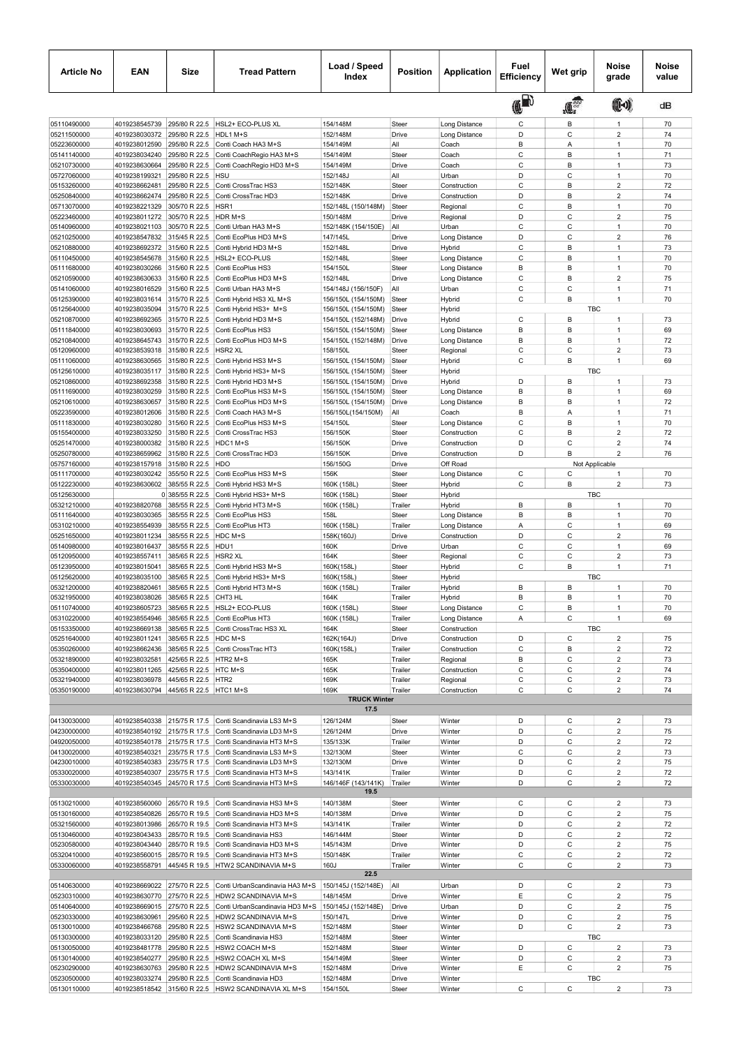| <b>Article No</b>          | <b>EAN</b>                                                 | Size                           | <b>Tread Pattern</b>                                                          | Load / Speed<br>Index                      | <b>Position</b>  | <b>Application</b>                    | Fuel<br>Efficiency | Wet grip         | Noise<br>grade                            | Noise<br>value |
|----------------------------|------------------------------------------------------------|--------------------------------|-------------------------------------------------------------------------------|--------------------------------------------|------------------|---------------------------------------|--------------------|------------------|-------------------------------------------|----------------|
|                            |                                                            |                                |                                                                               |                                            |                  |                                       | (ID                | $\mathbf{R}$     | (1)                                       | dB             |
| 05110490000                | 4019238545739                                              | 295/80 R 22.5                  | HSL2+ ECO-PLUS XL                                                             | 154/148M                                   | Steer            | Long Distance                         | C                  | В                | $\mathbf{1}$                              | 70             |
| 05211500000                | 4019238030372                                              | 295/80 R 22.5                  | HDL1 M+S                                                                      | 152/148M                                   | Drive            | Long Distance                         | D                  | $\mathsf{C}$     | $\overline{\mathbf{c}}$                   | 74             |
| 05223600000                | 4019238012590                                              | 295/80 R 22.5                  | Conti Coach HA3 M+S                                                           | 154/149M                                   | All              | Coach                                 | B                  | Α                | $\mathbf{1}$                              | 70             |
| 05141140000                | 4019238034240                                              | 295/80 R 22.5                  | Conti CoachRegio HA3 M+S                                                      | 154/149M                                   | Steer            | Coach                                 | C                  | B                | $\mathbf{1}$                              | 71             |
| 05210730000                | 4019238630664                                              | 295/80 R 22.5<br>295/80 R 22.5 | Conti CoachRegio HD3 M+S<br><b>HSU</b>                                        | 154/149M                                   | Drive<br>All     | Coach<br>Urban                        | C<br>D             | B<br>C           | $\mathbf{1}$<br>$\mathbf{1}$              | 73<br>70       |
| 05727060000<br>05153260000 | 4019238199321<br>4019238662481                             | 295/80 R 22.5                  | Conti CrossTrac HS3                                                           | 152/148J<br>152/148K                       | Steer            | Construction                          | C                  | B                | $\overline{2}$                            | 72             |
| 05250840000                | 4019238662474                                              | 295/80 R 22.5                  | Conti CrossTrac HD3                                                           | 152/148K                                   | Drive            | Construction                          | D                  | B                | $\overline{\mathbf{c}}$                   | 74             |
| 05713070000                | 4019238221329                                              | 305/70 R 22.5                  | HSR1                                                                          | 152/148L (150/148M)                        | Steer            | Regional                              | C                  | B                | 1                                         | 70             |
| 05223460000                | 4019238011272                                              | 305/70 R 22.5                  | HDR M+S                                                                       | 150/148M                                   | Drive            | Regional                              | D                  | C                | $\overline{2}$                            | 75             |
| 05140960000                | 4019238021103                                              | 305/70 R 22.5                  | Conti Urban HA3 M+S                                                           | 152/148K (154/150E)                        | All              | Urban                                 | C                  | C                | $\mathbf{1}$                              | 70             |
| 05210250000<br>05210880000 | 4019238547832<br>4019238692372                             | 315/45 R 22.5<br>315/60 R 22.5 | Conti EcoPlus HD3 M+S<br>Conti Hybrid HD3 M+S                                 | 147/145L<br>152/148L                       | Drive<br>Drive   | Long Distance                         | D<br>C             | C<br>B           | 2<br>$\mathbf{1}$                         | 76<br>73       |
| 05110450000                | 4019238545678                                              | 315/60 R 22.5                  | HSL2+ ECO-PLUS                                                                | 152/148L                                   | Steer            | Hybrid<br>Long Distance               | C                  | B                | $\mathbf{1}$                              | 70             |
| 05111680000                | 4019238030266                                              | 315/60 R 22.5                  | Conti EcoPlus HS3                                                             | 154/150L                                   | Steer            | Long Distance                         | B                  | B                | $\mathbf{1}$                              | 70             |
| 05210590000                | 4019238630633                                              | 315/60 R 22.5                  | Conti EcoPlus HD3 M+S                                                         | 152/148L                                   | Drive            | Long Distance                         | $\mathsf C$        | B                | $\overline{c}$                            | 75             |
| 05141060000                | 4019238016529                                              | 315/60 R 22.5                  | Conti Urban HA3 M+S                                                           | 154/148J (156/150F)                        | All              | Urban                                 | C                  | C                | $\mathbf{1}$                              | 71             |
| 05125390000                | 4019238031614                                              | 315/70 R 22.5                  | Conti Hybrid HS3 XL M+S                                                       | 156/150L (154/150M)                        | Steer            | Hybrid                                | C                  | B                | $\mathbf{1}$                              | 70             |
| 05125640000                | 4019238035094                                              | 315/70 R 22.5                  | Conti Hybrid HS3+ M+S                                                         | 156/150L (154/150M)                        | Steer            | Hybrid                                |                    |                  | <b>TBC</b>                                |                |
| 05210870000                | 4019238692365                                              | 315/70 R 22.5                  | Conti Hybrid HD3 M+S                                                          | 154/150L (152/148M)                        | Drive            | Hybrid                                | C                  | В                | $\mathbf{1}$                              | 73             |
| 05111840000<br>05210840000 | 4019238030693<br>4019238645743                             | 315/70 R 22.5<br>315/70 R 22.5 | Conti EcoPlus HS3<br>Conti EcoPlus HD3 M+S                                    | 156/150L (154/150M)<br>154/150L (152/148M) | Steer<br>Drive   | Long Distance<br>Long Distance        | B<br>B             | B<br>B           | $\mathbf{1}$<br>$\mathbf{1}$              | 69<br>72       |
| 05120960000                | 4019238539318                                              | 315/80 R 22.5                  | HSR <sub>2</sub> XL                                                           | 158/150L                                   | Steer            | Regional                              | C                  | C                | $\overline{2}$                            | 73             |
| 05111060000                | 4019238630565                                              | 315/80 R 22.5                  | Conti Hybrid HS3 M+S                                                          | 156/150L (154/150M)                        | Steer            | Hybrid                                | C                  | B                | $\overline{1}$                            | 69             |
| 05125610000                | 4019238035117                                              | 315/80 R 22.5                  | Conti Hybrid HS3+ M+S                                                         | 156/150L (154/150M)                        | Steer            | Hybrid                                |                    |                  | <b>TBC</b>                                |                |
| 05210860000                | 4019238692358                                              | 315/80 R 22.5                  | Conti Hybrid HD3 M+S                                                          | 156/150L (154/150M)                        | Drive            | Hybrid                                | D                  | В                | $\mathbf{1}$                              | 73             |
| 05111690000                | 4019238030259                                              | 315/80 R 22.5                  | Conti EcoPlus HS3 M+S                                                         | 156/150L (154/150M)                        | Steer            | Long Distance                         | B                  | B                | $\mathbf{1}$                              | 69             |
| 05210610000                | 4019238630657                                              | 315/80 R 22.5                  | Conti EcoPlus HD3 M+S                                                         | 156/150L (154/150M)                        | Drive            | Long Distance                         | B                  | B                | $\mathbf{1}$                              | 72             |
| 05223590000                | 4019238012606                                              | 315/80 R 22.5                  | Conti Coach HA3 M+S                                                           | 156/150L(154/150M)                         | All              | Coach                                 | B                  | Α                | $\mathbf{1}$                              | 71             |
| 05111830000<br>05155400000 | 4019238030280<br>4019238033250                             | 315/60 R 22.5<br>315/80 R 22.5 | Conti EcoPlus HS3 M+S<br>Conti CrossTrac HS3                                  | 154/150L<br>156/150K                       | Steer<br>Steer   | Long Distance<br>Construction         | C<br>C             | B<br>B           | 1<br>$\overline{2}$                       | 70<br>72       |
| 05251470000                | 4019238000382                                              | 315/80 R 22.5                  | HDC1 M+S                                                                      | 156/150K                                   | Drive            | Construction                          | D                  | C                | $\overline{2}$                            | 74             |
| 05250780000                | 4019238659962                                              | 315/80 R 22.5                  | Conti CrossTrac HD3                                                           | 156/150K                                   | Drive            | Construction                          | D                  | B                | $\overline{2}$                            | 76             |
| 05757160000                | 4019238157918                                              | 315/80 R 22.5                  | HDO                                                                           | 156/150G                                   | Drive            | Off Road                              |                    |                  | Not Applicable                            |                |
| 05111700000                | 4019238030242                                              | 355/50 R 22.5                  | Conti EcoPlus HS3 M+S                                                         | 156K                                       | Steer            | Long Distance                         | C                  | С                | $\overline{1}$                            | 70             |
| 05122230000                | 4019238630602                                              | 385/55 R 22.5                  | Conti Hybrid HS3 M+S                                                          | 160K (158L)                                | Steer            | Hybrid                                | C                  | B                | $\overline{2}$                            | 73             |
| 05125630000                |                                                            | 0 385/55 R 22.5                | Conti Hybrid HS3+ M+S                                                         | 160K (158L)                                | Steer            | Hybrid                                |                    |                  | <b>TBC</b>                                |                |
| 05321210000                | 4019238820768                                              | 385/55 R 22.5                  | Conti Hybrid HT3 M+S                                                          | 160K (158L)                                | Trailer          | Hybrid                                | B                  | B                | 1                                         | 70             |
| 05111640000<br>05310210000 | 4019238030365<br>4019238554939                             | 385/55 R 22.5<br>385/55 R 22.5 | Conti EcoPlus HS3<br>Conti EcoPlus HT3                                        | 158L                                       | Steer<br>Trailer | Long Distance                         | B<br>Α             | B<br>C           | $\mathbf{1}$<br>$\mathbf{1}$              | 70<br>69       |
| 05251650000                | 4019238011234                                              | 385/55 R 22.5                  | HDC M+S                                                                       | 160K (158L)<br>158K(160J)                  | Drive            | Long Distance<br>Construction         | D                  | C                | $\overline{2}$                            | 76             |
| 05140980000                | 4019238016437                                              | 385/55 R 22.5                  | HDU1                                                                          | 160K                                       | Drive            | Urban                                 | C                  | C                | $\mathbf{1}$                              | 69             |
| 05120950000                | 4019238557411                                              | 385/65 R 22.5                  | HSR <sub>2</sub> XL                                                           | 164K                                       | Steer            | Regional                              | C                  | $\mathsf{C}$     | $\overline{c}$                            | 73             |
| 05123950000                | 4019238015041                                              | 385/65 R 22.5                  | Conti Hybrid HS3 M+S                                                          | 160K(158L)                                 | Steer            | Hybrid                                | С                  | B                | $\mathbf{1}$                              | 71             |
| 05125620000                | 4019238035100                                              | 385/65 R 22.5                  | Conti Hybrid HS3+ M+S                                                         | 160K(158L)                                 | Steer            | Hybrid                                |                    |                  | <b>TBC</b>                                |                |
| 05321200000                | 4019238820461                                              | 385/65 R 22.5                  | Conti Hybrid HT3 M+S                                                          | 160K (158L)                                | Trailer          | Hybrid                                | B                  | В                | 1                                         | 70             |
| 05321950000                | 4019238038026                                              | 385/65 R 22.5                  | CHT3 HL                                                                       | 164K                                       | Trailer          | Hybrid                                | B                  | B                | 1                                         | 70             |
| 05110740000<br>05310220000 | 4019238554946                                              |                                | 4019238605723 385/65 R 22.5 HSL2+ ECO-PLUS<br>385/65 R 22.5 Conti EcoPlus HT3 | 160K (158L)<br>160K (158L)                 | Steer<br>Trailer | Long Distance<br><b>Long Distance</b> | $\mathsf{C}$<br>Α  | B<br>C           | $\mathbf{1}$                              | 70<br>69       |
| 05153350000                | 4019238669138                                              | 385/65 R 22.5                  | Conti CrossTrac HS3 XL                                                        | 164K                                       | Steer            | Construction                          |                    |                  | TBC                                       |                |
| 05251640000                | 4019238011241                                              | 385/65 R 22.5                  | HDC M+S                                                                       | 162K(164J)                                 | Drive            | Construction                          | D                  | C                | $\overline{\mathbf{c}}$                   | 75             |
| 05350260000                | 4019238662436                                              | 385/65 R 22.5                  | Conti CrossTrac HT3                                                           | 160K(158L)                                 | Trailer          | Construction                          | С                  | B                | $\overline{\mathbf{c}}$                   | 72             |
| 05321890000                | 4019238032581                                              | 425/65 R 22.5                  | HTR2 M+S                                                                      | 165K                                       | Trailer          | Regional                              | В                  | C                | $\overline{2}$                            | 73             |
| 05350400000                | 4019238011265 425/65 R 22.5 HTC M+S                        |                                |                                                                               | 165K                                       | Trailer          | Construction                          | С                  | С                | $\overline{\mathbf{c}}$                   | 74             |
| 05321940000                | 4019238036978                                              | 445/65 R 22.5 HTR2             |                                                                               | 169K                                       | Trailer          | Regional                              | C                  | С                | $\overline{c}$                            | 73             |
| 05350190000                | 4019238630794 445/65 R 22.5 HTC1 M+S                       |                                |                                                                               | 169K<br><b>TRUCK Winter</b>                | Trailer          | Construction                          | C                  | C                | $\overline{\mathbf{c}}$                   | 74             |
|                            |                                                            |                                |                                                                               | 17.5                                       |                  |                                       |                    |                  |                                           |                |
| 04130030000                |                                                            |                                | 4019238540338 215/75 R 17.5 Conti Scandinavia LS3 M+S                         | 126/124M                                   | Steer            | Winter                                | D                  | C                | $\mathbf 2$                               | 73             |
| 04230000000                | 4019238540192                                              | 215/75 R 17.5                  | Conti Scandinavia LD3 M+S                                                     | 126/124M                                   | Drive            | Winter                                | D                  | С                | $\overline{c}$                            | 75             |
| 04920050000                | 4019238540178 215/75 R 17.5                                |                                | Conti Scandinavia HT3 M+S                                                     | 135/133K                                   | Trailer          | Winter                                | D                  | С                | $\overline{c}$                            | 72             |
| 04130020000                | 4019238540321                                              | 235/75 R 17.5                  | Conti Scandinavia LS3 M+S                                                     | 132/130M                                   | Steer            | Winter                                | С                  | С                | $\overline{\mathbf{c}}$                   | 73             |
| 04230010000                | 4019238540383 235/75 R 17.5                                |                                | Conti Scandinavia LD3 M+S                                                     | 132/130M                                   | Drive            | Winter                                | D                  | C                | $\overline{\mathbf{c}}$                   | 75             |
| 05330020000                | 4019238540307                                              | 235/75 R 17.5                  | Conti Scandinavia HT3 M+S                                                     | 143/141K                                   | Trailer          | Winter                                | D                  | С                | $\overline{c}$                            | 72             |
| 05330030000                |                                                            |                                | 4019238540345 245/70 R 17.5 Conti Scandinavia HT3 M+S                         | 146/146F (143/141K)<br>19.5                | Trailer          | Winter                                | D                  | С                | $\overline{2}$                            | 72             |
| 05130210000                |                                                            |                                | 4019238560060 265/70 R 19.5 Conti Scandinavia HS3 M+S                         | 140/138M                                   | Steer            | Winter                                | С                  | C                | 2                                         | 73             |
| 05130160000                | 4019238540826                                              | 265/70 R 19.5                  | Conti Scandinavia HD3 M+S                                                     | 140/138M                                   | Drive            | Winter                                | D                  | С                | $\overline{c}$                            | 75             |
| 05321560000                | 4019238013986                                              | 265/70 R 19.5                  | Conti Scandinavia HT3 M+S                                                     | 143/141K                                   | Trailer          | Winter                                | D                  | C                | $\boldsymbol{2}$                          | 72             |
| 05130460000                | 4019238043433                                              | 285/70 R 19.5                  | Conti Scandinavia HS3                                                         | 146/144M                                   | Steer            | Winter                                | D                  | С                | $\overline{\mathbf{c}}$                   | 72             |
| 05230580000                | 4019238043440 285/70 R 19.5                                |                                | Conti Scandinavia HD3 M+S                                                     | 145/143M                                   | Drive            | Winter                                | D                  | С                | $\overline{\mathbf{c}}$                   | 75             |
| 05320410000                | 4019238560015 285/70 R 19.5                                |                                | Conti Scandinavia HT3 M+S                                                     | 150/148K                                   | Trailer          | Winter                                | C                  | С                | $\overline{c}$                            | 72             |
| 05330060000                |                                                            |                                | 4019238558791 445/45 R 19.5 HTW2 SCANDINAVIA M+S                              | 160J<br>22.5                               | Trailer          | Winter                                | С                  | С                | $\overline{2}$                            | 73             |
|                            |                                                            |                                |                                                                               |                                            |                  |                                       |                    |                  |                                           |                |
| 05140630000<br>05230310000 | 4019238669022 275/70 R 22.5<br>4019238630770 275/70 R 22.5 |                                | Conti UrbanScandinavia HA3 M+S<br>HDW2 SCANDINAVIA M+S                        | 150/145J (152/148E)<br>148/145M            | All              | Urban                                 | D<br>Ε             | С<br>$\mathsf C$ | $\overline{\mathbf{c}}$<br>$\overline{c}$ | 73             |
| 05140640000                | 4019238669015 275/70 R 22.5                                |                                | Conti UrbanScandinavia HD3 M+S                                                | 150/145J (152/148E)                        | Drive<br>Drive   | Winter<br>Urban                       | D                  | С                | $\overline{\mathbf{c}}$                   | 75<br>75       |
| 05230330000                | 4019238630961                                              | 295/60 R 22.5                  | HDW2 SCANDINAVIA M+S                                                          | 150/147L                                   | Drive            | Winter                                | D                  | С                | $\overline{c}$                            | 75             |
| 05130010000                | 4019238466768 295/80 R 22.5                                |                                | HSW2 SCANDINAVIA M+S                                                          | 152/148M                                   | Steer            | Winter                                | D                  | С                | $\overline{\mathbf{c}}$                   | 73             |
| 05130300000                | 4019238033120 295/80 R 22.5                                |                                | Conti Scandinavia HS3                                                         | 152/148M                                   | Steer            | Winter                                |                    |                  | TBC                                       |                |
| 05130050000                | 4019238481778                                              | 295/80 R 22.5                  | HSW2 COACH M+S                                                                | 152/148M                                   | Steer            | Winter                                | D                  | $\mathsf C$      | $\mathbf 2$                               | 73             |
| 05130140000                | 4019238540277                                              | 295/80 R 22.5                  | HSW2 COACH XL M+S                                                             | 154/149M                                   | Steer            | Winter                                | D                  | $\mathsf{C}$     | $\overline{c}$                            | 73             |
| 05230290000                | 4019238630763                                              | 295/80 R 22.5                  | HDW2 SCANDINAVIA M+S                                                          | 152/148M                                   | Drive            | Winter                                | Ε                  | С                | $\overline{\mathbf{c}}$                   | 75             |
| 05230500000                | 4019238033274                                              | 295/80 R 22.5                  | Conti Scandinavia HD3                                                         | 152/148M                                   | Drive            | Winter                                | C                  | $\mathsf C$      | TBC<br>$\overline{2}$                     |                |
| 05130110000                |                                                            |                                | 4019238518542 315/60 R 22.5 HSW2 SCANDINAVIA XL M+S                           | 154/150L                                   | Steer            | Winter                                |                    |                  |                                           | 73             |